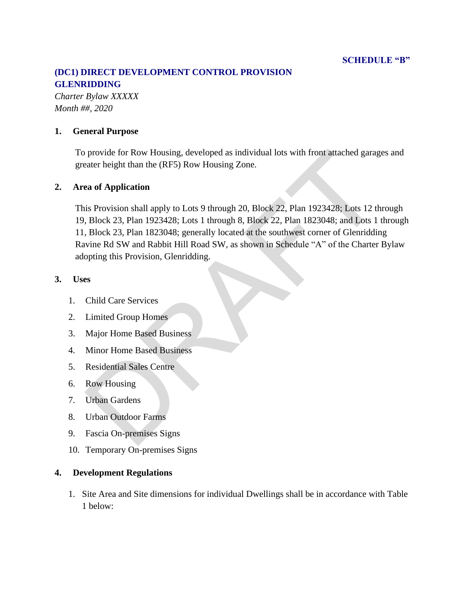# **(DC1) DIRECT DEVELOPMENT CONTROL PROVISION GLENRIDDING**

*Charter Bylaw XXXXX Month ##, 2020*

### **1. General Purpose**

To provide for Row Housing, developed as individual lots with front attached garages and greater height than the (RF5) Row Housing Zone.

#### **2. Area of Application**

This Provision shall apply to Lots 9 through 20, Block 22, Plan 1923428; Lots 12 through 19, Block 23, Plan 1923428; Lots 1 through 8, Block 22, Plan 1823048; and Lots 1 through 11, Block 23, Plan 1823048; generally located at the southwest corner of Glenridding Ravine Rd SW and Rabbit Hill Road SW, as shown in Schedule "A" of the Charter Bylaw adopting this Provision, Glenridding. provide for Row Housing, developed as individual lots with front attached garage<br>
rater height than the (RF5) Row Housing Zone.<br> **as of Application**<br>
is Provision shall apply to Lots 9 through 20, Block 22, Plan 1923428; L

#### **3. Uses**

- 1. Child Care Services
- 2. Limited Group Homes
- 3. Major Home Based Business
- 4. Minor Home Based Business
- 5. Residential Sales Centre
- 6. Row Housing
- 7. Urban Gardens
- 8. Urban Outdoor Farms
- 9. Fascia On-premises Signs
- 10. Temporary On-premises Signs

## **4. Development Regulations**

1. Site Area and Site dimensions for individual Dwellings shall be in accordance with Table 1 below: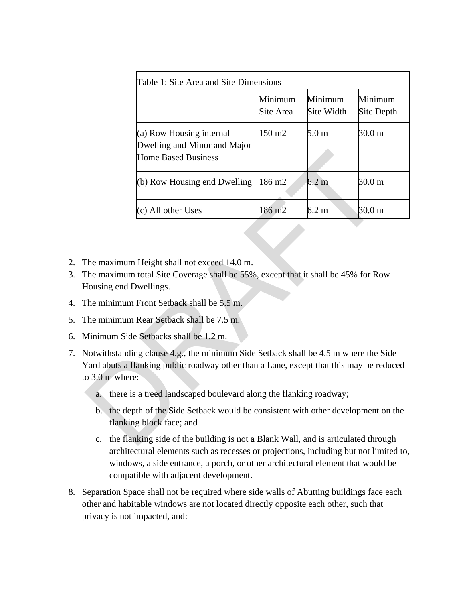| Table 1: Site Area and Site Dimensions                                                                                                                                                                  |                                                                                        |                      |                       |                       |
|---------------------------------------------------------------------------------------------------------------------------------------------------------------------------------------------------------|----------------------------------------------------------------------------------------|----------------------|-----------------------|-----------------------|
|                                                                                                                                                                                                         |                                                                                        | Minimum<br>Site Area | Minimum<br>Site Width | Minimum<br>Site Depth |
|                                                                                                                                                                                                         | (a) Row Housing internal<br>Dwelling and Minor and Major<br><b>Home Based Business</b> | 150 m2               | 5.0 <sub>m</sub>      | 30.0 <sub>m</sub>     |
|                                                                                                                                                                                                         | (b) Row Housing end Dwelling                                                           | 186 m2               | $6.2 \text{ m}$       | 30.0 m                |
|                                                                                                                                                                                                         | (c) All other Uses                                                                     | 186 m <sub>2</sub>   | $6.2 \text{ m}$       | 30.0 <sub>m</sub>     |
| The maximum Height shall not exceed 14.0 m.<br>The maximum total Site Coverage shall be 55%, except that it shall be 45% for Row<br>Housing end Dwellings.<br>The minimum Front Setback shall be 5.5 m. |                                                                                        |                      |                       |                       |
| The minimum Rear Setback shall be 7.5 m.                                                                                                                                                                |                                                                                        |                      |                       |                       |
| Minimum Side Setbacks shall be 1.2 m.                                                                                                                                                                   |                                                                                        |                      |                       |                       |
| Notwithstanding clause 4.g., the minimum Side Setback shall be 4.5 m where the Side<br>Yard abuts a flanking public roadway other than a Lane, except that this may be reduced<br>$\sigma$ 3.0 m where: |                                                                                        |                      |                       |                       |
| there is a treed landscaped boulevard along the flanking roadway;<br>a.                                                                                                                                 |                                                                                        |                      |                       |                       |
| b. the depth of the Side Setback would be consistent with other development on the<br>flanking block face; and                                                                                          |                                                                                        |                      |                       |                       |
| $\mathbf{c}$ .                                                                                                                                                                                          | the flanking side of the building is not a Blank Wall, and is articulated through      |                      |                       |                       |

- 2. The maximum Height shall not exceed 14.0 m.
- 3. The maximum total Site Coverage shall be 55%, except that it shall be 45% for Row Housing end Dwellings.
- 4. The minimum Front Setback shall be 5.5 m.
- 5. The minimum Rear Setback shall be 7.5 m.
- 6. Minimum Side Setbacks shall be 1.2 m.
- 7. Notwithstanding clause 4.g., the minimum Side Setback shall be 4.5 m where the Side Yard abuts a flanking public roadway other than a Lane, except that this may be reduced to 3.0 m where:
	- a. there is a treed landscaped boulevard along the flanking roadway;
	- b. the depth of the Side Setback would be consistent with other development on the flanking block face; and
	- c. the flanking side of the building is not a Blank Wall, and is articulated through architectural elements such as recesses or projections, including but not limited to, windows, a side entrance, a porch, or other architectural element that would be compatible with adjacent development.
- 8. Separation Space shall not be required where side walls of Abutting buildings face each other and habitable windows are not located directly opposite each other, such that privacy is not impacted, and: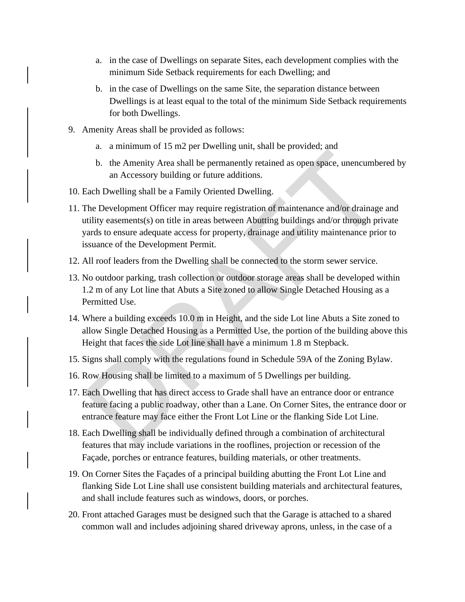- a. in the case of Dwellings on separate Sites, each development complies with the minimum Side Setback requirements for each Dwelling; and
- b. in the case of Dwellings on the same Site, the separation distance between Dwellings is at least equal to the total of the minimum Side Setback requirements for both Dwellings.
- 9. Amenity Areas shall be provided as follows:
	- a. a minimum of 15 m2 per Dwelling unit, shall be provided; and
	- b. the Amenity Area shall be permanently retained as open space, unencumbered by an Accessory building or future additions.
- 10. Each Dwelling shall be a Family Oriented Dwelling.
- 11. The Development Officer may require registration of maintenance and/or drainage and utility easements(s) on title in areas between Abutting buildings and/or through private yards to ensure adequate access for property, drainage and utility maintenance prior to issuance of the Development Permit. **Example 12** and the permanently retained as open space, unencumbe<br>
the Amenity Area shall be permanently retained as open space, unencumbe<br>
an Accessory building or future additions.<br>
Each Dwelling shall be a Family Orien
- 12. All roof leaders from the Dwelling shall be connected to the storm sewer service.
- 13. No outdoor parking, trash collection or outdoor storage areas shall be developed within 1.2 m of any Lot line that Abuts a Site zoned to allow Single Detached Housing as a Permitted Use.
- 14. Where a building exceeds 10.0 m in Height, and the side Lot line Abuts a Site zoned to allow Single Detached Housing as a Permitted Use, the portion of the building above this Height that faces the side Lot line shall have a minimum 1.8 m Stepback.
- 15. Signs shall comply with the regulations found in Schedule 59A of the Zoning Bylaw.
- 16. Row Housing shall be limited to a maximum of 5 Dwellings per building.
- 17. Each Dwelling that has direct access to Grade shall have an entrance door or entrance feature facing a public roadway, other than a Lane. On Corner Sites, the entrance door or entrance feature may face either the Front Lot Line or the flanking Side Lot Line.
- 18. Each Dwelling shall be individually defined through a combination of architectural features that may include variations in the rooflines, projection or recession of the Façade, porches or entrance features, building materials, or other treatments.
- 19. On Corner Sites the Façades of a principal building abutting the Front Lot Line and flanking Side Lot Line shall use consistent building materials and architectural features, and shall include features such as windows, doors, or porches.
- 20. Front attached Garages must be designed such that the Garage is attached to a shared common wall and includes adjoining shared driveway aprons, unless, in the case of a